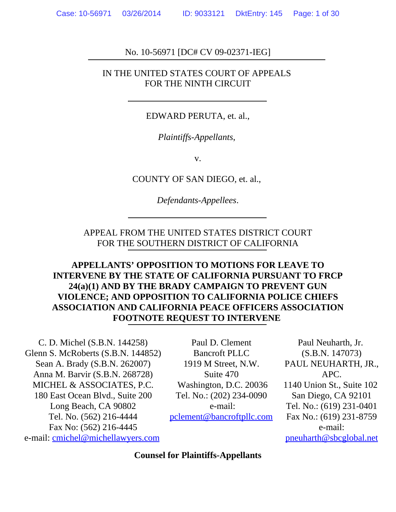### No. 10-56971 [DC# CV 09-02371-IEG]

#### IN THE UNITED STATES COURT OF APPEALS FOR THE NINTH CIRCUIT

#### EDWARD PERUTA, et. al.,

*Plaintiffs-Appellants*,

v.

COUNTY OF SAN DIEGO, et. al.,

*Defendants-Appellees*.

APPEAL FROM THE UNITED STATES DISTRICT COURT FOR THE SOUTHERN DISTRICT OF CALIFORNIA

**APPELLANTS' OPPOSITION TO MOTIONS FOR LEAVE TO INTERVENE BY THE STATE OF CALIFORNIA PURSUANT TO FRCP 24(a)(1) AND BY THE BRADY CAMPAIGN TO PREVENT GUN VIOLENCE; AND OPPOSITION TO CALIFORNIA POLICE CHIEFS ASSOCIATION AND CALIFORNIA PEACE OFFICERS ASSOCIATION FOOTNOTE REQUEST TO INTERVENE** 

C. D. Michel (S.B.N. 144258) Glenn S. McRoberts (S.B.N. 144852) Sean A. Brady (S.B.N. 262007) Anna M. Barvir (S.B.N. 268728) MICHEL & ASSOCIATES, P.C. 180 East Ocean Blvd., Suite 200 Long Beach, CA 90802 Tel. No. (562) 216-4444 Fax No: (562) 216-4445 e-mail: cmichel@michellawyers.com

Paul D. Clement Bancroft PLLC 1919 M Street, N.W. Suite 470 Washington, D.C. 20036 Tel. No.: (202) 234-0090 e-mail: pclement@bancroftpllc.com

Paul Neuharth, Jr. (S.B.N. 147073) PAUL NEUHARTH, JR., APC. 1140 Union St., Suite 102 San Diego, CA 92101 Tel. No.: (619) 231-0401 Fax No.: (619) 231-8759 e-mail: pneuharth@sbcglobal.net

**Counsel for Plaintiffs-Appellants**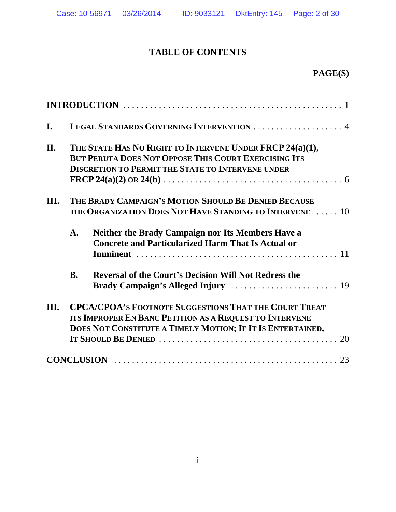# **TABLE OF CONTENTS**

# **PAGE(S)**

| I.   | LEGAL STANDARDS GOVERNING INTERVENTION  4                                                                                                                                             |                                                                                                                       |  |
|------|---------------------------------------------------------------------------------------------------------------------------------------------------------------------------------------|-----------------------------------------------------------------------------------------------------------------------|--|
| II.  | THE STATE HAS NO RIGHT TO INTERVENE UNDER FRCP 24(a)(1),<br><b>BUT PERUTA DOES NOT OPPOSE THIS COURT EXERCISING ITS</b><br><b>DISCRETION TO PERMIT THE STATE TO INTERVENE UNDER</b>   |                                                                                                                       |  |
| III. | THE BRADY CAMPAIGN'S MOTION SHOULD BE DENIED BECAUSE<br>THE ORGANIZATION DOES NOT HAVE STANDING TO INTERVENE  10                                                                      |                                                                                                                       |  |
|      | $\mathbf{A}$ .                                                                                                                                                                        | <b>Neither the Brady Campaign nor Its Members Have a</b><br><b>Concrete and Particularized Harm That Is Actual or</b> |  |
|      | <b>B.</b>                                                                                                                                                                             | <b>Reversal of the Court's Decision Will Not Redress the</b>                                                          |  |
| III. | <b>CPCA/CPOA'S FOOTNOTE SUGGESTIONS THAT THE COURT TREAT</b><br>ITS IMPROPER EN BANC PETITION AS A REQUEST TO INTERVENE<br>DOES NOT CONSTITUTE A TIMELY MOTION; IF IT IS ENTERTAINED, |                                                                                                                       |  |
|      |                                                                                                                                                                                       |                                                                                                                       |  |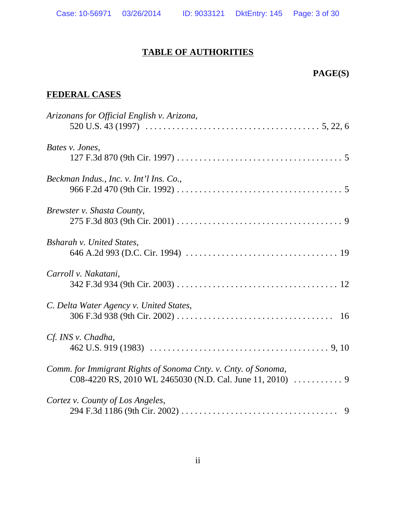# **TABLE OF AUTHORITIES**

# **PAGE(S)**

# **FEDERAL CASES**

| Arizonans for Official English v. Arizona,                     |
|----------------------------------------------------------------|
| Bates v. Jones,                                                |
| Beckman Indus., Inc. v. Int'l Ins. Co.,                        |
| Brewster v. Shasta County,                                     |
| <b>Bsharah v. United States,</b>                               |
| Carroll v. Nakatani,                                           |
| C. Delta Water Agency v. United States,                        |
| Cf. INS v. Chadha,                                             |
| Comm. for Immigrant Rights of Sonoma Cnty. v. Cnty. of Sonoma, |
| Cortez v. County of Los Angeles,                               |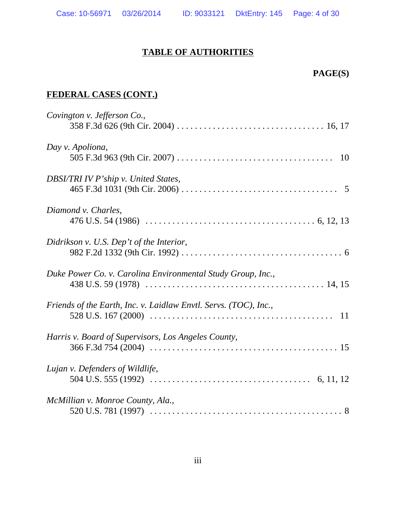### **TABLE OF AUTHORITIES**

## **PAGE(S)**

# **FEDERAL CASES (CONT.)**

| Covington v. Jefferson Co.,                                      |
|------------------------------------------------------------------|
| Day v. Apoliona,                                                 |
| DBSI/TRI IV P'ship v. United States,                             |
| Diamond v. Charles,                                              |
| Didrikson v. U.S. Dep't of the Interior,                         |
| Duke Power Co. v. Carolina Environmental Study Group, Inc.,      |
| Friends of the Earth, Inc. v. Laidlaw Envtl. Servs. (TOC), Inc., |
| Harris v. Board of Supervisors, Los Angeles County,              |
| Lujan v. Defenders of Wildlife,                                  |
| McMillian v. Monroe County, Ala.,                                |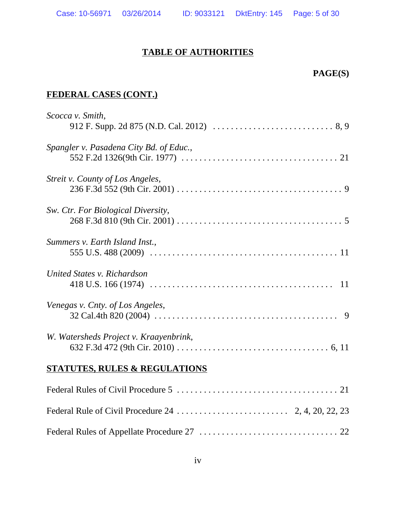### **TABLE OF AUTHORITIES**

## **PAGE(S)**

## **FEDERAL CASES (CONT.)**

| Scocca v. Smith,<br>912 F. Supp. 2d 875 (N.D. Cal. 2012) $\ldots \ldots \ldots \ldots \ldots \ldots \ldots \ldots \ldots \ldots$                                |
|-----------------------------------------------------------------------------------------------------------------------------------------------------------------|
| Spangler v. Pasadena City Bd. of Educ.,                                                                                                                         |
| Streit v. County of Los Angeles,                                                                                                                                |
| Sw. Ctr. For Biological Diversity,                                                                                                                              |
| Summers v. Earth Island Inst.,                                                                                                                                  |
| United States v. Richardson                                                                                                                                     |
| Venegas v. Cnty. of Los Angeles,<br>32 Cal.4th 820 (2004) $\ldots \ldots \ldots \ldots \ldots \ldots \ldots \ldots \ldots \ldots \ldots \ldots \ldots \qquad 9$ |
| W. Watersheds Project v. Kraayenbrink,                                                                                                                          |
| <b>STATUTES, RULES &amp; REGULATIONS</b>                                                                                                                        |
|                                                                                                                                                                 |
|                                                                                                                                                                 |
|                                                                                                                                                                 |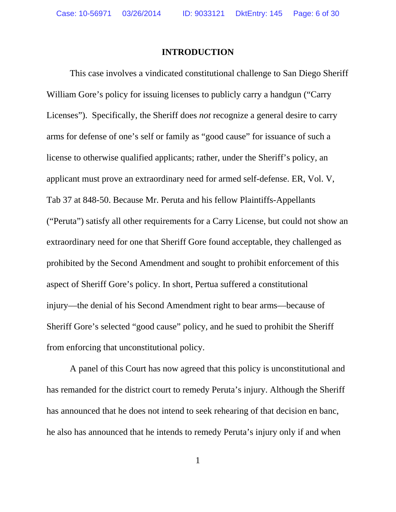#### **INTRODUCTION**

This case involves a vindicated constitutional challenge to San Diego Sheriff William Gore's policy for issuing licenses to publicly carry a handgun ("Carry Licenses"). Specifically, the Sheriff does *not* recognize a general desire to carry arms for defense of one's self or family as "good cause" for issuance of such a license to otherwise qualified applicants; rather, under the Sheriff's policy, an applicant must prove an extraordinary need for armed self-defense. ER, Vol. V, Tab 37 at 848-50. Because Mr. Peruta and his fellow Plaintiffs-Appellants ("Peruta") satisfy all other requirements for a Carry License, but could not show an extraordinary need for one that Sheriff Gore found acceptable, they challenged as prohibited by the Second Amendment and sought to prohibit enforcement of this aspect of Sheriff Gore's policy. In short, Pertua suffered a constitutional injury—the denial of his Second Amendment right to bear arms—because of Sheriff Gore's selected "good cause" policy, and he sued to prohibit the Sheriff from enforcing that unconstitutional policy.

A panel of this Court has now agreed that this policy is unconstitutional and has remanded for the district court to remedy Peruta's injury. Although the Sheriff has announced that he does not intend to seek rehearing of that decision en banc, he also has announced that he intends to remedy Peruta's injury only if and when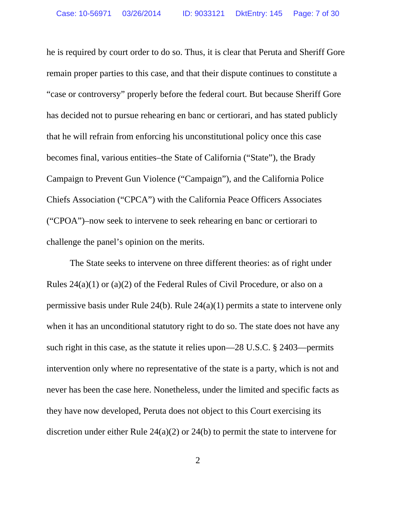he is required by court order to do so. Thus, it is clear that Peruta and Sheriff Gore remain proper parties to this case, and that their dispute continues to constitute a "case or controversy" properly before the federal court. But because Sheriff Gore has decided not to pursue rehearing en banc or certiorari, and has stated publicly that he will refrain from enforcing his unconstitutional policy once this case becomes final, various entities–the State of California ("State"), the Brady Campaign to Prevent Gun Violence ("Campaign"), and the California Police Chiefs Association ("CPCA") with the California Peace Officers Associates ("CPOA")–now seek to intervene to seek rehearing en banc or certiorari to challenge the panel's opinion on the merits.

The State seeks to intervene on three different theories: as of right under Rules 24(a)(1) or (a)(2) of the Federal Rules of Civil Procedure, or also on a permissive basis under Rule 24(b). Rule 24(a)(1) permits a state to intervene only when it has an unconditional statutory right to do so. The state does not have any such right in this case, as the statute it relies upon—28 U.S.C. § 2403—permits intervention only where no representative of the state is a party, which is not and never has been the case here. Nonetheless, under the limited and specific facts as they have now developed, Peruta does not object to this Court exercising its discretion under either Rule 24(a)(2) or 24(b) to permit the state to intervene for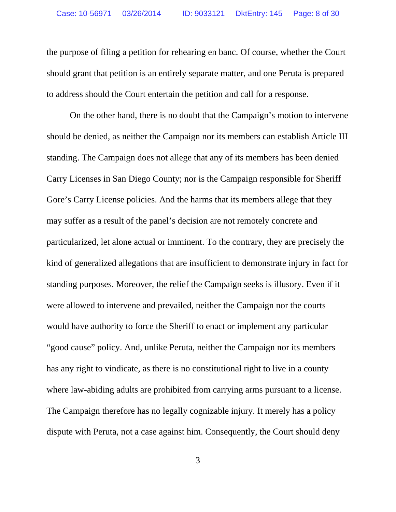the purpose of filing a petition for rehearing en banc. Of course, whether the Court should grant that petition is an entirely separate matter, and one Peruta is prepared to address should the Court entertain the petition and call for a response.

On the other hand, there is no doubt that the Campaign's motion to intervene should be denied, as neither the Campaign nor its members can establish Article III standing. The Campaign does not allege that any of its members has been denied Carry Licenses in San Diego County; nor is the Campaign responsible for Sheriff Gore's Carry License policies. And the harms that its members allege that they may suffer as a result of the panel's decision are not remotely concrete and particularized, let alone actual or imminent. To the contrary, they are precisely the kind of generalized allegations that are insufficient to demonstrate injury in fact for standing purposes. Moreover, the relief the Campaign seeks is illusory. Even if it were allowed to intervene and prevailed, neither the Campaign nor the courts would have authority to force the Sheriff to enact or implement any particular "good cause" policy. And, unlike Peruta, neither the Campaign nor its members has any right to vindicate, as there is no constitutional right to live in a county where law-abiding adults are prohibited from carrying arms pursuant to a license. The Campaign therefore has no legally cognizable injury. It merely has a policy dispute with Peruta, not a case against him. Consequently, the Court should deny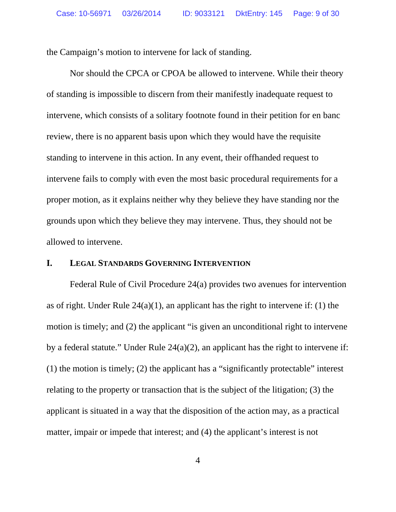the Campaign's motion to intervene for lack of standing.

Nor should the CPCA or CPOA be allowed to intervene. While their theory of standing is impossible to discern from their manifestly inadequate request to intervene, which consists of a solitary footnote found in their petition for en banc review, there is no apparent basis upon which they would have the requisite standing to intervene in this action. In any event, their offhanded request to intervene fails to comply with even the most basic procedural requirements for a proper motion, as it explains neither why they believe they have standing nor the grounds upon which they believe they may intervene. Thus, they should not be allowed to intervene.

#### **I. LEGAL STANDARDS GOVERNING INTERVENTION**

Federal Rule of Civil Procedure 24(a) provides two avenues for intervention as of right. Under Rule  $24(a)(1)$ , an applicant has the right to intervene if: (1) the motion is timely; and (2) the applicant "is given an unconditional right to intervene by a federal statute." Under Rule 24(a)(2), an applicant has the right to intervene if: (1) the motion is timely; (2) the applicant has a "significantly protectable" interest relating to the property or transaction that is the subject of the litigation; (3) the applicant is situated in a way that the disposition of the action may, as a practical matter, impair or impede that interest; and (4) the applicant's interest is not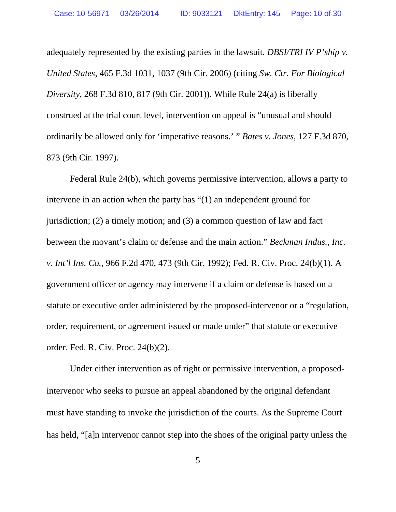adequately represented by the existing parties in the lawsuit. *DBSI/TRI IV P'ship v. United States*, 465 F.3d 1031, 1037 (9th Cir. 2006) (citing *Sw. Ctr. For Biological Diversity*, 268 F.3d 810, 817 (9th Cir. 2001)). While Rule 24(a) is liberally construed at the trial court level, intervention on appeal is "unusual and should ordinarily be allowed only for 'imperative reasons.' " *Bates v. Jones*, 127 F.3d 870, 873 (9th Cir. 1997).

Federal Rule 24(b), which governs permissive intervention, allows a party to intervene in an action when the party has "(1) an independent ground for jurisdiction; (2) a timely motion; and (3) a common question of law and fact between the movant's claim or defense and the main action." *Beckman Indus., Inc. v. Int'l Ins. Co.*, 966 F.2d 470, 473 (9th Cir. 1992); Fed. R. Civ. Proc. 24(b)(1). A government officer or agency may intervene if a claim or defense is based on a statute or executive order administered by the proposed-intervenor or a "regulation, order, requirement, or agreement issued or made under" that statute or executive order. Fed. R. Civ. Proc. 24(b)(2).

Under either intervention as of right or permissive intervention, a proposedintervenor who seeks to pursue an appeal abandoned by the original defendant must have standing to invoke the jurisdiction of the courts. As the Supreme Court has held, "[a]n intervenor cannot step into the shoes of the original party unless the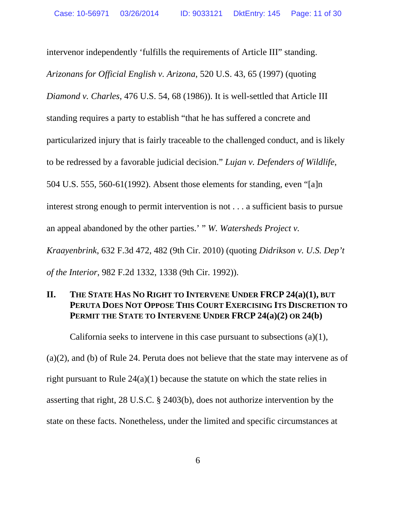intervenor independently 'fulfills the requirements of Article III" standing. *Arizonans for Official English v. Arizona*, 520 U.S. 43, 65 (1997) (quoting *Diamond v. Charles*, 476 U.S. 54, 68 (1986)). It is well-settled that Article III standing requires a party to establish "that he has suffered a concrete and particularized injury that is fairly traceable to the challenged conduct, and is likely to be redressed by a favorable judicial decision." *Lujan v. Defenders of Wildlife*, 504 U.S. 555, 560-61(1992). Absent those elements for standing, even "[a]n interest strong enough to permit intervention is not . . . a sufficient basis to pursue an appeal abandoned by the other parties.' " *W. Watersheds Project v. Kraayenbrink*, 632 F.3d 472, 482 (9th Cir. 2010) (quoting *Didrikson v. U.S. Dep't of the Interior*, 982 F.2d 1332, 1338 (9th Cir. 1992)).

### **II. THE STATE HAS NO RIGHT TO INTERVENE UNDER FRCP 24(a)(1), BUT PERUTA DOES NOT OPPOSE THIS COURT EXERCISING ITS DISCRETION TO PERMIT THE STATE TO INTERVENE UNDER FRCP 24(a)(2) OR 24(b)**

California seeks to intervene in this case pursuant to subsections  $(a)(1)$ , (a)(2), and (b) of Rule 24. Peruta does not believe that the state may intervene as of right pursuant to Rule 24(a)(1) because the statute on which the state relies in asserting that right, 28 U.S.C. § 2403(b), does not authorize intervention by the state on these facts. Nonetheless, under the limited and specific circumstances at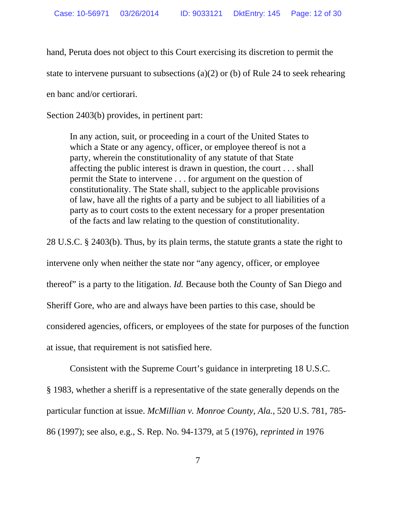hand, Peruta does not object to this Court exercising its discretion to permit the

state to intervene pursuant to subsections (a)(2) or (b) of Rule 24 to seek rehearing

en banc and/or certiorari.

Section 2403(b) provides, in pertinent part:

In any action, suit, or proceeding in a court of the United States to which a State or any agency, officer, or employee thereof is not a party, wherein the constitutionality of any statute of that State affecting the public interest is drawn in question, the court . . . shall permit the State to intervene . . . for argument on the question of constitutionality. The State shall, subject to the applicable provisions of law, have all the rights of a party and be subject to all liabilities of a party as to court costs to the extent necessary for a proper presentation of the facts and law relating to the question of constitutionality.

28 U.S.C. § 2403(b). Thus, by its plain terms, the statute grants a state the right to intervene only when neither the state nor "any agency, officer, or employee thereof" is a party to the litigation. *Id.* Because both the County of San Diego and Sheriff Gore, who are and always have been parties to this case, should be considered agencies, officers, or employees of the state for purposes of the function at issue, that requirement is not satisfied here.

Consistent with the Supreme Court's guidance in interpreting 18 U.S.C. § 1983, whether a sheriff is a representative of the state generally depends on the particular function at issue. *McMillian v. Monroe County, Ala.*, 520 U.S. 781, 785- 86 (1997); see also, e.g., S. Rep. No. 94-1379, at 5 (1976), *reprinted in* 1976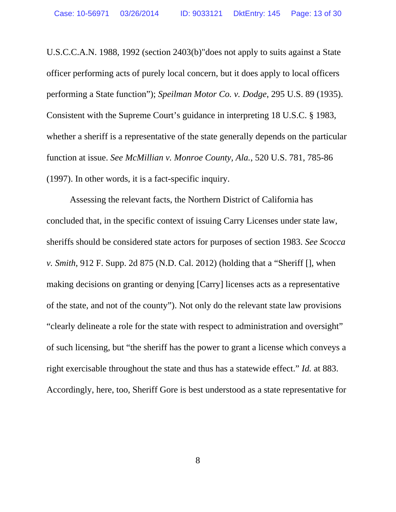U.S.C.C.A.N. 1988, 1992 (section 2403(b)"does not apply to suits against a State officer performing acts of purely local concern, but it does apply to local officers performing a State function"); *Speilman Motor Co. v. Dodge*, 295 U.S. 89 (1935). Consistent with the Supreme Court's guidance in interpreting 18 U.S.C. § 1983, whether a sheriff is a representative of the state generally depends on the particular function at issue. *See McMillian v. Monroe County, Ala.*, 520 U.S. 781, 785-86 (1997). In other words, it is a fact-specific inquiry.

Assessing the relevant facts, the Northern District of California has concluded that, in the specific context of issuing Carry Licenses under state law, sheriffs should be considered state actors for purposes of section 1983. *See Scocca v. Smith*, 912 F. Supp. 2d 875 (N.D. Cal. 2012) (holding that a "Sheriff [], when making decisions on granting or denying [Carry] licenses acts as a representative of the state, and not of the county"). Not only do the relevant state law provisions "clearly delineate a role for the state with respect to administration and oversight" of such licensing, but "the sheriff has the power to grant a license which conveys a right exercisable throughout the state and thus has a statewide effect." *Id.* at 883. Accordingly, here, too, Sheriff Gore is best understood as a state representative for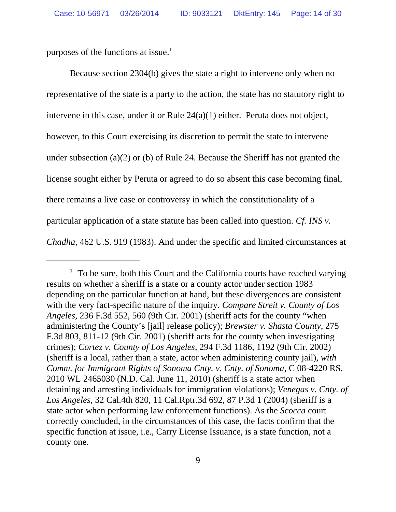purposes of the functions at issue.<sup>1</sup>

Because section 2304(b) gives the state a right to intervene only when no representative of the state is a party to the action, the state has no statutory right to intervene in this case, under it or Rule 24(a)(1) either. Peruta does not object, however, to this Court exercising its discretion to permit the state to intervene under subsection (a)(2) or (b) of Rule 24. Because the Sheriff has not granted the license sought either by Peruta or agreed to do so absent this case becoming final, there remains a live case or controversy in which the constitutionality of a particular application of a state statute has been called into question. *Cf. INS v. Chadha*, 462 U.S. 919 (1983). And under the specific and limited circumstances at

 $1$  To be sure, both this Court and the California courts have reached varying results on whether a sheriff is a state or a county actor under section 1983 depending on the particular function at hand, but these divergences are consistent with the very fact-specific nature of the inquiry. *Compare Streit v. County of Los Angeles,* 236 F.3d 552, 560 (9th Cir. 2001) (sheriff acts for the county "when administering the County's [jail] release policy); *Brewster v. Shasta County*, 275 F.3d 803, 811-12 (9th Cir. 2001) (sheriff acts for the county when investigating crimes); *Cortez v. County of Los Angeles*, 294 F.3d 1186, 1192 (9th Cir. 2002) (sheriff is a local, rather than a state, actor when administering county jail), *with Comm. for Immigrant Rights of Sonoma Cnty. v. Cnty. of Sonoma*, C 08-4220 RS, 2010 WL 2465030 (N.D. Cal. June 11, 2010) (sheriff is a state actor when detaining and arresting individuals for immigration violations); *Venegas v. Cnty. of Los Angeles*, 32 Cal.4th 820, 11 Cal.Rptr.3d 692, 87 P.3d 1 (2004) (sheriff is a state actor when performing law enforcement functions). As the *Scocca* court correctly concluded, in the circumstances of this case, the facts confirm that the specific function at issue, i.e., Carry License Issuance, is a state function, not a county one.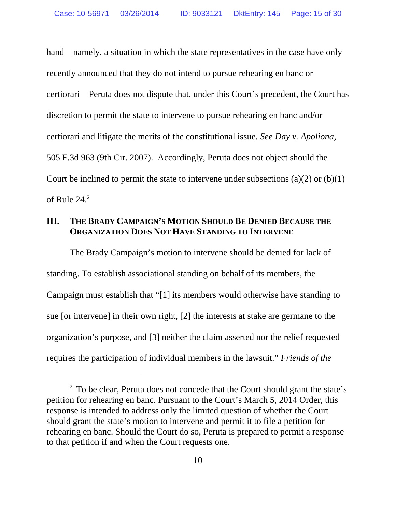hand—namely, a situation in which the state representatives in the case have only recently announced that they do not intend to pursue rehearing en banc or certiorari—Peruta does not dispute that, under this Court's precedent, the Court has discretion to permit the state to intervene to pursue rehearing en banc and/or certiorari and litigate the merits of the constitutional issue. *See Day v. Apoliona*, 505 F.3d 963 (9th Cir. 2007). Accordingly, Peruta does not object should the Court be inclined to permit the state to intervene under subsections  $(a)(2)$  or  $(b)(1)$ of Rule  $24.<sup>2</sup>$ 

### **III. THE BRADY CAMPAIGN'S MOTION SHOULD BE DENIED BECAUSE THE ORGANIZATION DOES NOT HAVE STANDING TO INTERVENE**

The Brady Campaign's motion to intervene should be denied for lack of standing. To establish associational standing on behalf of its members, the Campaign must establish that "[1] its members would otherwise have standing to sue [or intervene] in their own right, [2] the interests at stake are germane to the organization's purpose, and [3] neither the claim asserted nor the relief requested requires the participation of individual members in the lawsuit." *Friends of the*

<sup>&</sup>lt;sup>2</sup> To be clear, Peruta does not concede that the Court should grant the state's petition for rehearing en banc. Pursuant to the Court's March 5, 2014 Order, this response is intended to address only the limited question of whether the Court should grant the state's motion to intervene and permit it to file a petition for rehearing en banc. Should the Court do so, Peruta is prepared to permit a response to that petition if and when the Court requests one.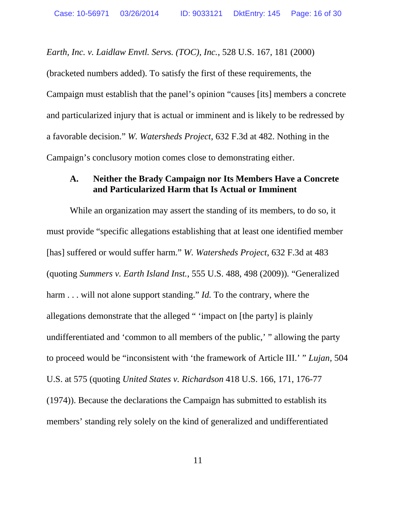*Earth, Inc. v. Laidlaw Envtl. Servs. (TOC), Inc.*, 528 U.S. 167, 181 (2000)

(bracketed numbers added). To satisfy the first of these requirements, the Campaign must establish that the panel's opinion "causes [its] members a concrete and particularized injury that is actual or imminent and is likely to be redressed by a favorable decision." *W. Watersheds Project*, 632 F.3d at 482. Nothing in the Campaign's conclusory motion comes close to demonstrating either.

### **A. Neither the Brady Campaign nor Its Members Have a Concrete and Particularized Harm that Is Actual or Imminent**

While an organization may assert the standing of its members, to do so, it must provide "specific allegations establishing that at least one identified member [has] suffered or would suffer harm." *W. Watersheds Project*, 632 F.3d at 483 (quoting *Summers v. Earth Island Inst.*, 555 U.S. 488, 498 (2009))*.* "Generalized harm . . . will not alone support standing." *Id*. To the contrary, where the allegations demonstrate that the alleged " 'impact on [the party] is plainly undifferentiated and 'common to all members of the public,' " allowing the party to proceed would be "inconsistent with 'the framework of Article III.' " *Lujan*, 504 U.S. at 575 (quoting *United States v. Richardson* 418 U.S. 166, 171, 176-77 (1974)). Because the declarations the Campaign has submitted to establish its members' standing rely solely on the kind of generalized and undifferentiated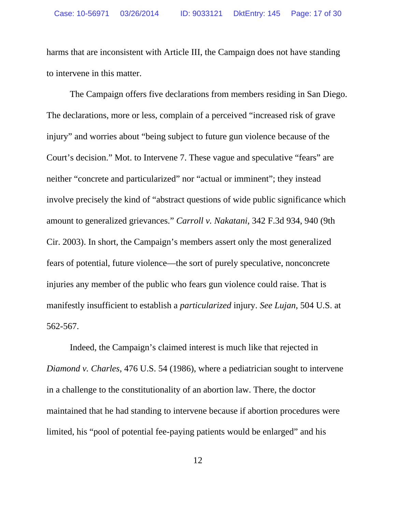harms that are inconsistent with Article III, the Campaign does not have standing to intervene in this matter.

The Campaign offers five declarations from members residing in San Diego. The declarations, more or less, complain of a perceived "increased risk of grave injury" and worries about "being subject to future gun violence because of the Court's decision." Mot. to Intervene 7. These vague and speculative "fears" are neither "concrete and particularized" nor "actual or imminent"; they instead involve precisely the kind of "abstract questions of wide public significance which amount to generalized grievances." *Carroll v. Nakatani*, 342 F.3d 934, 940 (9th Cir. 2003). In short, the Campaign's members assert only the most generalized fears of potential, future violence—the sort of purely speculative, nonconcrete injuries any member of the public who fears gun violence could raise. That is manifestly insufficient to establish a *particularized* injury. *See Lujan*, 504 U.S. at 562-567.

Indeed, the Campaign's claimed interest is much like that rejected in *Diamond v. Charles*, 476 U.S. 54 (1986), where a pediatrician sought to intervene in a challenge to the constitutionality of an abortion law. There, the doctor maintained that he had standing to intervene because if abortion procedures were limited, his "pool of potential fee-paying patients would be enlarged" and his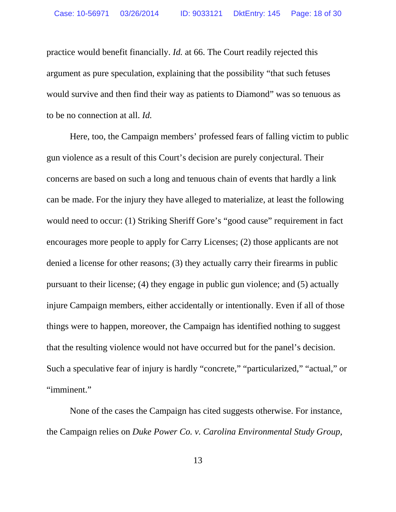practice would benefit financially. *Id.* at 66. The Court readily rejected this argument as pure speculation, explaining that the possibility "that such fetuses would survive and then find their way as patients to Diamond" was so tenuous as to be no connection at all. *Id.*

Here, too, the Campaign members' professed fears of falling victim to public gun violence as a result of this Court's decision are purely conjectural. Their concerns are based on such a long and tenuous chain of events that hardly a link can be made. For the injury they have alleged to materialize, at least the following would need to occur: (1) Striking Sheriff Gore's "good cause" requirement in fact encourages more people to apply for Carry Licenses; (2) those applicants are not denied a license for other reasons; (3) they actually carry their firearms in public pursuant to their license; (4) they engage in public gun violence; and (5) actually injure Campaign members, either accidentally or intentionally. Even if all of those things were to happen, moreover, the Campaign has identified nothing to suggest that the resulting violence would not have occurred but for the panel's decision. Such a speculative fear of injury is hardly "concrete," "particularized," "actual," or "imminent."

None of the cases the Campaign has cited suggests otherwise. For instance, the Campaign relies on *Duke Power Co. v. Carolina Environmental Study Group,*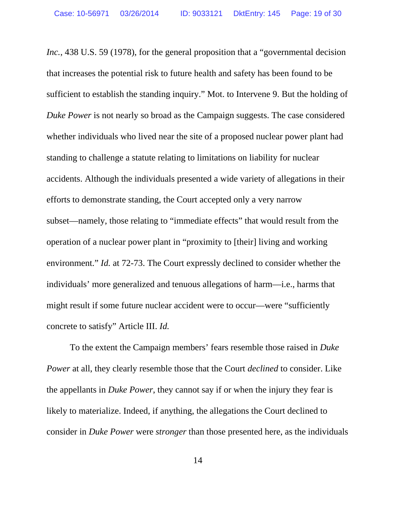*Inc.*, 438 U.S. 59 (1978), for the general proposition that a "governmental decision that increases the potential risk to future health and safety has been found to be sufficient to establish the standing inquiry." Mot. to Intervene 9. But the holding of *Duke Power* is not nearly so broad as the Campaign suggests. The case considered whether individuals who lived near the site of a proposed nuclear power plant had standing to challenge a statute relating to limitations on liability for nuclear accidents. Although the individuals presented a wide variety of allegations in their efforts to demonstrate standing, the Court accepted only a very narrow subset—namely, those relating to "immediate effects" that would result from the operation of a nuclear power plant in "proximity to [their] living and working environment." *Id.* at 72-73. The Court expressly declined to consider whether the individuals' more generalized and tenuous allegations of harm—i.e., harms that might result if some future nuclear accident were to occur—were "sufficiently concrete to satisfy" Article III. *Id.*

To the extent the Campaign members' fears resemble those raised in *Duke Power* at all, they clearly resemble those that the Court *declined* to consider. Like the appellants in *Duke Power*, they cannot say if or when the injury they fear is likely to materialize. Indeed, if anything, the allegations the Court declined to consider in *Duke Power* were *stronger* than those presented here, as the individuals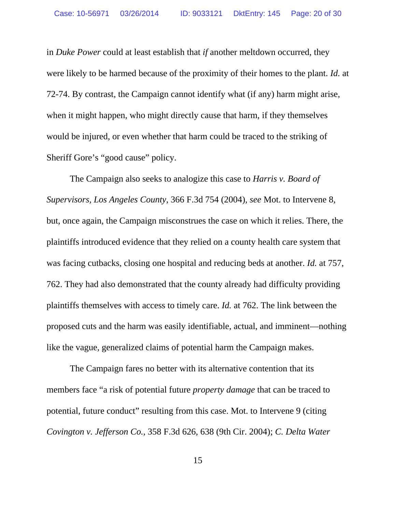in *Duke Power* could at least establish that *if* another meltdown occurred, they were likely to be harmed because of the proximity of their homes to the plant. *Id.* at 72-74. By contrast, the Campaign cannot identify what (if any) harm might arise, when it might happen, who might directly cause that harm, if they themselves would be injured, or even whether that harm could be traced to the striking of Sheriff Gore's "good cause" policy.

The Campaign also seeks to analogize this case to *Harris v. Board of Supervisors, Los Angeles County*, 366 F.3d 754 (2004), *see* Mot. to Intervene 8, but, once again, the Campaign misconstrues the case on which it relies. There, the plaintiffs introduced evidence that they relied on a county health care system that was facing cutbacks, closing one hospital and reducing beds at another. *Id.* at 757, 762. They had also demonstrated that the county already had difficulty providing plaintiffs themselves with access to timely care. *Id.* at 762. The link between the proposed cuts and the harm was easily identifiable, actual, and imminent—nothing like the vague, generalized claims of potential harm the Campaign makes.

The Campaign fares no better with its alternative contention that its members face "a risk of potential future *property damage* that can be traced to potential, future conduct" resulting from this case. Mot. to Intervene 9 (citing *Covington v. Jefferson Co.*, 358 F.3d 626, 638 (9th Cir. 2004); *C. Delta Water*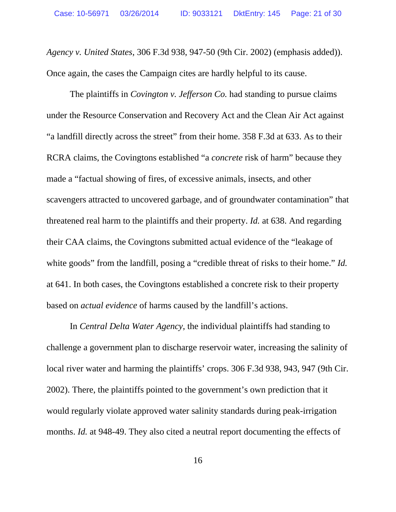*Agency v. United States*, 306 F.3d 938, 947-50 (9th Cir. 2002) (emphasis added)). Once again, the cases the Campaign cites are hardly helpful to its cause.

The plaintiffs in *Covington v. Jefferson Co.* had standing to pursue claims under the Resource Conservation and Recovery Act and the Clean Air Act against "a landfill directly across the street" from their home. 358 F.3d at 633. As to their RCRA claims, the Covingtons established "a *concrete* risk of harm" because they made a "factual showing of fires, of excessive animals, insects, and other scavengers attracted to uncovered garbage, and of groundwater contamination" that threatened real harm to the plaintiffs and their property. *Id.* at 638. And regarding their CAA claims, the Covingtons submitted actual evidence of the "leakage of white goods" from the landfill, posing a "credible threat of risks to their home." *Id.* at 641. In both cases, the Covingtons established a concrete risk to their property based on *actual evidence* of harms caused by the landfill's actions.

In *Central Delta Water Agency*, the individual plaintiffs had standing to challenge a government plan to discharge reservoir water, increasing the salinity of local river water and harming the plaintiffs' crops. 306 F.3d 938, 943, 947 (9th Cir. 2002). There, the plaintiffs pointed to the government's own prediction that it would regularly violate approved water salinity standards during peak-irrigation months. *Id.* at 948-49. They also cited a neutral report documenting the effects of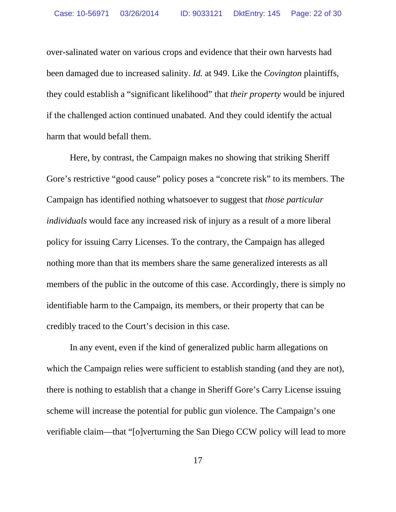over-salinated water on various crops and evidence that their own harvests had been damaged due to increased salinity. *Id.* at 949. Like the *Covington* plaintiffs, they could establish a "significant likelihood" that *their property* would be injured if the challenged action continued unabated. And they could identify the actual harm that would befall them.

Here, by contrast, the Campaign makes no showing that striking Sheriff Gore's restrictive "good cause" policy poses a "concrete risk" to its members. The Campaign has identified nothing whatsoever to suggest that *those particular individuals* would face any increased risk of injury as a result of a more liberal policy for issuing Carry Licenses. To the contrary, the Campaign has alleged nothing more than that its members share the same generalized interests as all members of the public in the outcome of this case. Accordingly, there is simply no identifiable harm to the Campaign, its members, or their property that can be credibly traced to the Court's decision in this case.

In any event, even if the kind of generalized public harm allegations on which the Campaign relies were sufficient to establish standing (and they are not), there is nothing to establish that a change in Sheriff Gore's Carry License issuing scheme will increase the potential for public gun violence. The Campaign's one verifiable claim—that "[o]verturning the San Diego CCW policy will lead to more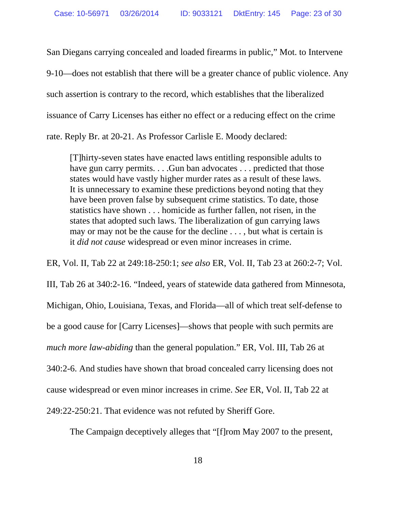San Diegans carrying concealed and loaded firearms in public," Mot. to Intervene 9-10—does not establish that there will be a greater chance of public violence. Any such assertion is contrary to the record, which establishes that the liberalized issuance of Carry Licenses has either no effect or a reducing effect on the crime rate. Reply Br. at 20-21. As Professor Carlisle E. Moody declared:

[T]hirty-seven states have enacted laws entitling responsible adults to have gun carry permits. . . . Gun ban advocates . . . predicted that those states would have vastly higher murder rates as a result of these laws. It is unnecessary to examine these predictions beyond noting that they have been proven false by subsequent crime statistics. To date, those statistics have shown . . . homicide as further fallen, not risen, in the states that adopted such laws. The liberalization of gun carrying laws may or may not be the cause for the decline . . . , but what is certain is it *did not cause* widespread or even minor increases in crime.

ER, Vol. II, Tab 22 at 249:18-250:1; *see also* ER, Vol. II, Tab 23 at 260:2-7; Vol. III, Tab 26 at 340:2-16. "Indeed, years of statewide data gathered from Minnesota, Michigan, Ohio, Louisiana, Texas, and Florida—all of which treat self-defense to be a good cause for [Carry Licenses]—shows that people with such permits are *much more law-abiding* than the general population." ER, Vol. III, Tab 26 at 340:2-6. And studies have shown that broad concealed carry licensing does not cause widespread or even minor increases in crime. *See* ER, Vol. II, Tab 22 at 249:22-250:21. That evidence was not refuted by Sheriff Gore.

The Campaign deceptively alleges that "[f]rom May 2007 to the present,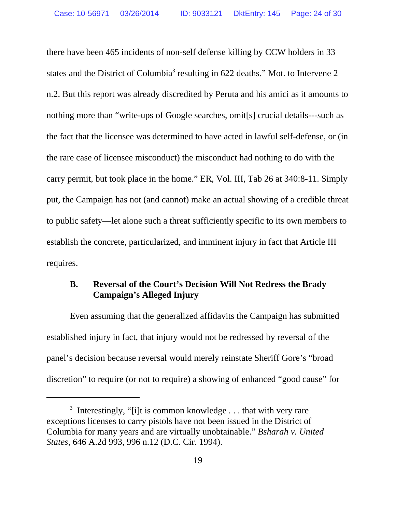there have been 465 incidents of non-self defense killing by CCW holders in 33 states and the District of Columbia<sup>3</sup> resulting in 622 deaths." Mot. to Intervene 2 n.2. But this report was already discredited by Peruta and his amici as it amounts to nothing more than "write-ups of Google searches, omit[s] crucial details---such as the fact that the licensee was determined to have acted in lawful self-defense, or (in the rare case of licensee misconduct) the misconduct had nothing to do with the carry permit, but took place in the home." ER, Vol. III, Tab 26 at 340:8-11. Simply put, the Campaign has not (and cannot) make an actual showing of a credible threat to public safety—let alone such a threat sufficiently specific to its own members to establish the concrete, particularized, and imminent injury in fact that Article III requires.

### **B. Reversal of the Court's Decision Will Not Redress the Brady Campaign's Alleged Injury**

Even assuming that the generalized affidavits the Campaign has submitted established injury in fact, that injury would not be redressed by reversal of the panel's decision because reversal would merely reinstate Sheriff Gore's "broad discretion" to require (or not to require) a showing of enhanced "good cause" for

<sup>&</sup>lt;sup>3</sup> Interestingly, "[i]t is common knowledge  $\dots$  that with very rare exceptions licenses to carry pistols have not been issued in the District of Columbia for many years and are virtually unobtainable." *Bsharah v. United States*, 646 A.2d 993, 996 n.12 (D.C. Cir. 1994).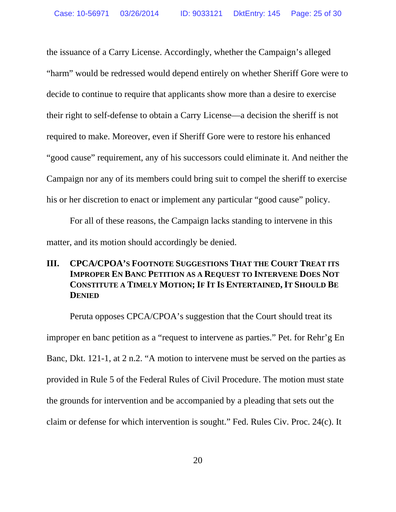the issuance of a Carry License. Accordingly, whether the Campaign's alleged "harm" would be redressed would depend entirely on whether Sheriff Gore were to decide to continue to require that applicants show more than a desire to exercise their right to self-defense to obtain a Carry License—a decision the sheriff is not required to make. Moreover, even if Sheriff Gore were to restore his enhanced "good cause" requirement, any of his successors could eliminate it. And neither the Campaign nor any of its members could bring suit to compel the sheriff to exercise his or her discretion to enact or implement any particular "good cause" policy.

For all of these reasons, the Campaign lacks standing to intervene in this matter, and its motion should accordingly be denied.

### **III. CPCA/CPOA'S FOOTNOTE SUGGESTIONS THAT THE COURT TREAT ITS IMPROPER EN BANC PETITION AS A REQUEST TO INTERVENE DOES NOT CONSTITUTE A TIMELY MOTION; IF IT IS ENTERTAINED, IT SHOULD BE DENIED**

Peruta opposes CPCA/CPOA's suggestion that the Court should treat its improper en banc petition as a "request to intervene as parties." Pet. for Rehr'g En Banc, Dkt. 121-1, at 2 n.2. "A motion to intervene must be served on the parties as provided in Rule 5 of the Federal Rules of Civil Procedure. The motion must state the grounds for intervention and be accompanied by a pleading that sets out the claim or defense for which intervention is sought." Fed. Rules Civ. Proc. 24(c). It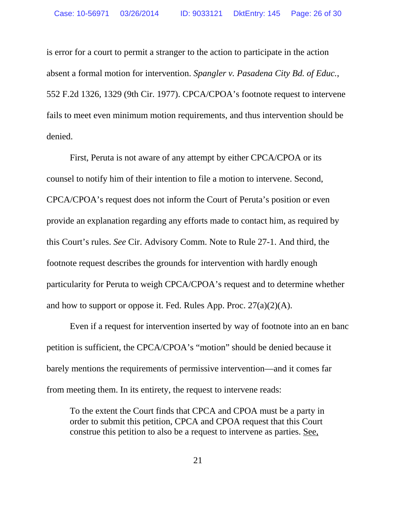is error for a court to permit a stranger to the action to participate in the action absent a formal motion for intervention. *Spangler v. Pasadena City Bd. of Educ.*, 552 F.2d 1326, 1329 (9th Cir. 1977). CPCA/CPOA's footnote request to intervene fails to meet even minimum motion requirements, and thus intervention should be denied.

First, Peruta is not aware of any attempt by either CPCA/CPOA or its counsel to notify him of their intention to file a motion to intervene. Second, CPCA/CPOA's request does not inform the Court of Peruta's position or even provide an explanation regarding any efforts made to contact him, as required by this Court's rules. *See* Cir. Advisory Comm. Note to Rule 27-1. And third, the footnote request describes the grounds for intervention with hardly enough particularity for Peruta to weigh CPCA/CPOA's request and to determine whether and how to support or oppose it. Fed. Rules App. Proc.  $27(a)(2)(A)$ .

Even if a request for intervention inserted by way of footnote into an en banc petition is sufficient, the CPCA/CPOA's "motion" should be denied because it barely mentions the requirements of permissive intervention—and it comes far from meeting them. In its entirety, the request to intervene reads:

To the extent the Court finds that CPCA and CPOA must be a party in order to submit this petition, CPCA and CPOA request that this Court construe this petition to also be a request to intervene as parties. See,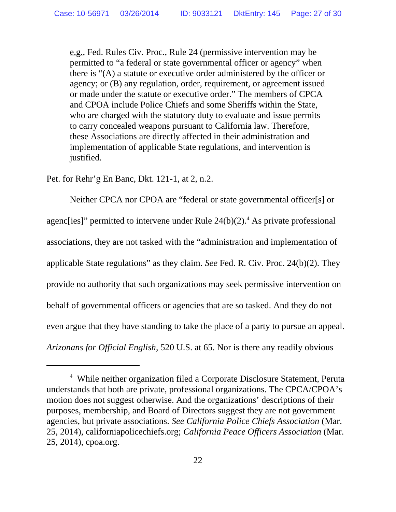e.g., Fed. Rules Civ. Proc., Rule 24 (permissive intervention may be permitted to "a federal or state governmental officer or agency" when there is "(A) a statute or executive order administered by the officer or agency; or (B) any regulation, order, requirement, or agreement issued or made under the statute or executive order." The members of CPCA and CPOA include Police Chiefs and some Sheriffs within the State, who are charged with the statutory duty to evaluate and issue permits to carry concealed weapons pursuant to California law. Therefore, these Associations are directly affected in their administration and implementation of applicable State regulations, and intervention is justified.

Pet. for Rehr'g En Banc, Dkt. 121-1, at 2, n.2.

Neither CPCA nor CPOA are "federal or state governmental officer[s] or agenc[ies]" permitted to intervene under Rule  $24(b)(2)$ .<sup>4</sup> As private professional associations, they are not tasked with the "administration and implementation of applicable State regulations" as they claim. *See* Fed. R. Civ. Proc. 24(b)(2). They provide no authority that such organizations may seek permissive intervention on behalf of governmental officers or agencies that are so tasked. And they do not even argue that they have standing to take the place of a party to pursue an appeal. *Arizonans for Official English*, 520 U.S. at 65. Nor is there any readily obvious

<sup>4</sup> While neither organization filed a Corporate Disclosure Statement, Peruta understands that both are private, professional organizations. The CPCA/CPOA's motion does not suggest otherwise. And the organizations' descriptions of their purposes, membership, and Board of Directors suggest they are not government agencies, but private associations. *See California Police Chiefs Association* (Mar. 25, 2014), californiapolicechiefs.org; *California Peace Officers Association* (Mar. 25, 2014), cpoa.org.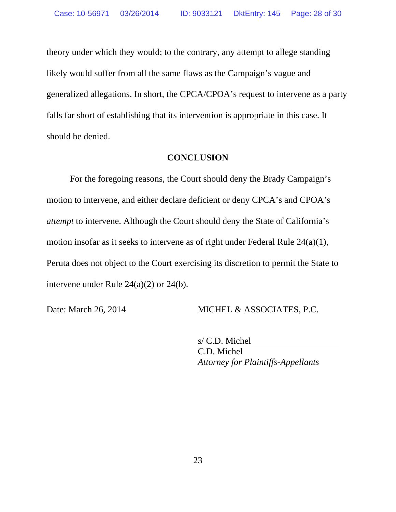theory under which they would; to the contrary, any attempt to allege standing likely would suffer from all the same flaws as the Campaign's vague and generalized allegations. In short, the CPCA/CPOA's request to intervene as a party falls far short of establishing that its intervention is appropriate in this case. It should be denied.

#### **CONCLUSION**

For the foregoing reasons, the Court should deny the Brady Campaign's motion to intervene, and either declare deficient or deny CPCA's and CPOA's *attempt* to intervene. Although the Court should deny the State of California's motion insofar as it seeks to intervene as of right under Federal Rule 24(a)(1), Peruta does not object to the Court exercising its discretion to permit the State to intervene under Rule 24(a)(2) or 24(b).

Date: March 26, 2014 MICHEL & ASSOCIATES, P.C.

s/ C.D. Michel C.D. Michel *Attorney for Plaintiffs-Appellants*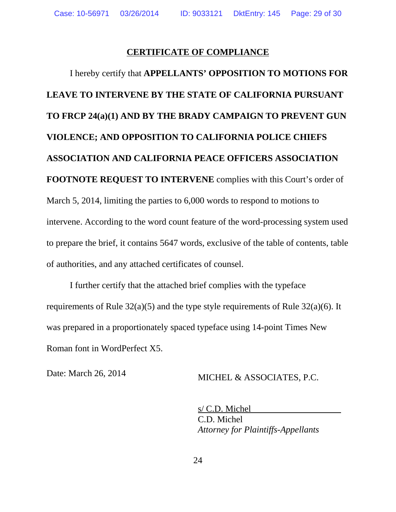### **CERTIFICATE OF COMPLIANCE**

I hereby certify that **APPELLANTS' OPPOSITION TO MOTIONS FOR LEAVE TO INTERVENE BY THE STATE OF CALIFORNIA PURSUANT TO FRCP 24(a)(1) AND BY THE BRADY CAMPAIGN TO PREVENT GUN VIOLENCE; AND OPPOSITION TO CALIFORNIA POLICE CHIEFS ASSOCIATION AND CALIFORNIA PEACE OFFICERS ASSOCIATION FOOTNOTE REQUEST TO INTERVENE** complies with this Court's order of March 5, 2014, limiting the parties to 6,000 words to respond to motions to intervene. According to the word count feature of the word-processing system used to prepare the brief, it contains 5647 words, exclusive of the table of contents, table of authorities, and any attached certificates of counsel.

I further certify that the attached brief complies with the typeface requirements of Rule 32(a)(5) and the type style requirements of Rule 32(a)(6). It was prepared in a proportionately spaced typeface using 14-point Times New Roman font in WordPerfect X5.

Date: March 26, 2014 MICHEL & ASSOCIATES, P.C.

s/ C.D. Michel C.D. Michel *Attorney for Plaintiffs-Appellants*